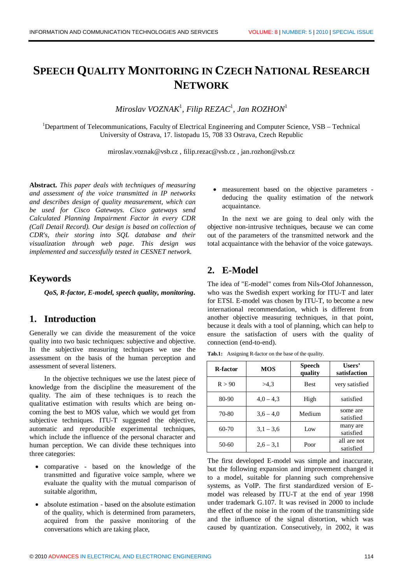# **SPEECH QUALITY MONITORING IN CZECH NATIONAL RESEARCH NETWORK**

*Miroslav VOZNAK*<sup>1</sup> *, Filip REZAC*<sup>1</sup> *, Jan ROZHON*<sup>1</sup>

<sup>1</sup>Department of Telecommunications, Faculty of Electrical Engineering and Computer Science,  $VSB - Technical$ University of Ostrava, 17. listopadu 15, 708 33 Ostrava, Czech Republic

miroslav.voznak@vsb.cz , filip.rezac@vsb.cz , jan.rozhon@vsb.cz

**Abstract.** *This paper deals with techniques of measuring and assessment of the voice transmitted in IP networks and describes design of quality measurement, which can be used for Cisco Gateways. Cisco gateways send Calculated Planning Impairment Factor in every CDR (Call Detail Record). Our design is based on collection of CDR's, their storing into SQL database and their visualization through web page. This design was implemented and successfully tested in CESNET network.*

## **Keywords**

*QoS, R-factor, E-model, speech quality, monitoring***.**

# **1. Introduction**

Generally we can divide the measurement of the voice quality into two basic techniques: subjective and objective. In the subjective measuring techniques we use the assessment on the basis of the human perception and assessment of several listeners.

In the objective techniques we use the latest piece of knowledge from the discipline the measurement of the quality. The aim of these techniques is to reach the qualitative estimation with results which are being oncoming the best to MOS value, which we would get from subjective techniques. ITU-T suggested the objective, automatic and reproducible experimental techniques, which include the influence of the personal character and human perception. We can divide these techniques into three categories:

- · comparative based on the knowledge of the transmitted and figurative voice sample, where we evaluate the quality with the mutual comparison of suitable algorithm.
- absolute estimation based on the absolute estimation of the quality, which is determined from parameters, acquired from the passive monitoring of the conversations which are taking place,

· measurement based on the objective parameters deducing the quality estimation of the network acquaintance.

In the next we are going to deal only with the objective non-intrusive techniques, because we can come out of the parameters of the transmitted network and the total acquaintance with the behavior of the voice gateways.

# **2. E-Model**

The idea of "E-model" comes from Nils-Olof Johannesson, who was the Swedish expert working for ITU-T and later for ETSI. E-model was chosen by ITU-T, to become a new international recommendation, which is different from another objective measuring techniques, in that point, because it deals with a tool of planning, which can help to ensure the satisfaction of users with the quality of connection (end-to-end).

|  | <b>Tab.1:</b> Assigning R-factor on the base of the quality. |  |  |  |  |  |
|--|--------------------------------------------------------------|--|--|--|--|--|
|--|--------------------------------------------------------------|--|--|--|--|--|

| R-factor | MOS         | Speech<br>quality | Users'<br>satisfaction   |
|----------|-------------|-------------------|--------------------------|
| R > 90   | >4.3        | <b>Best</b>       | very satisfied           |
| 80-90    | $4,0-4,3$   | High              | satisfied                |
| 70-80    | $3,6 - 4,0$ | Medium            | some are<br>satisfied    |
| 60-70    | $3,1 - 3,6$ | Low               | many are<br>satisfied    |
| 50-60    | $2,6 - 3,1$ | Poor              | all are not<br>satisfied |

The first developed E-model was simple and inaccurate, but the following expansion and improvement changed it to a model, suitable for planning such comprehensive systems, as VoIP. The first standardized version of Emodel was released by ITU-T at the end of year 1998 under trademark G.107. It was revised in 2000 to include the effect of the noise in the room of the transmitting side and the influence of the signal distortion, which was caused by quantization. Consecutively, in 2002, it was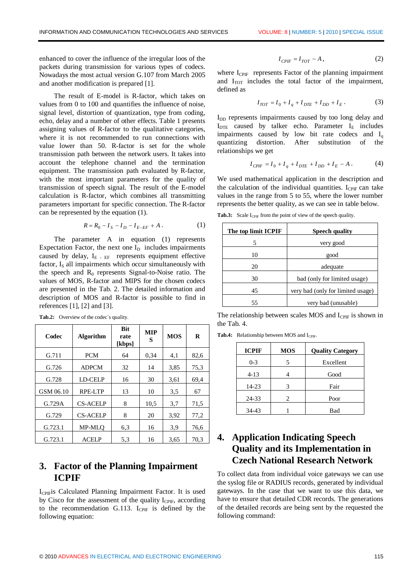enhanced to cover the influence of the irregular loos of the packets during transmission for various types of codecs. Nowadays the most actual version G.107 from March 2005 and another modification is prepared [1].

The result of E-model is R-factor, which takes on values from 0 to 100 and quantifies the influence of noise, signal level, distortion of quantization, type from coding, echo, delay and a number of other effects. Table 1 presents assigning values of R-factor to the qualitative categories, where it is not recommended to run connections with value lower than 50. R-factor is set for the whole transmission path between the network users. It takes into account the telephone channel and the termination equipment. The transmission path evaluated by R-factor, with the most important parameters for the quality of transmission of speech signal. The result of the E-model calculation is R-factor, which combines all transmitting parameters important for specific connection. The R-factor can be represented by the equation (1).

$$
R = R_0 - I_S - I_D - I_{E-EF} + A \,. \tag{1}
$$

The parameter A in equation (1) represents Expectation Factor, the next one  $I<sub>D</sub>$  includes impairments caused by delay,  $I_{E - EF}$  represents equipment effective factor,  $I_s$  all impairments which occur simultaneously with the speech and  $R_0$  represents Signal-to-Noise ratio. The values of MOS, R-factor and MIPS for the chosen codecs are presented in the Tab. 2. The detailed information and description of MOS and R-factor is possible to find in references [1], [2] and [3].

**Bit**

| Codec     | <b>Algorithm</b> | DIL<br>rate<br>[kbps] | <b>MIP</b><br>S | <b>MOS</b> | R    |
|-----------|------------------|-----------------------|-----------------|------------|------|
| G.711     | <b>PCM</b>       | 64                    | 0.34            | 4,1        | 82,6 |
| G.726     | <b>ADPCM</b>     | 32                    | 14              | 3,85       | 75,3 |
| G.728     | <b>LD-CELP</b>   | 16                    | 30              | 3,61       | 69,4 |
| GSM 06.10 | RPE-LTP          | 13                    | 10              | 3.5        | 67   |
| G.729A    | <b>CS-ACELP</b>  | 8                     | 10,5            | 3,7        | 71,5 |
| G.729     | <b>CS-ACELP</b>  | 8                     | 20              | 3,92       | 77,2 |
| G.723.1   | <b>MP-MLO</b>    | 6.3                   | 16              | 3,9        | 76,6 |
| G.723.1   | <b>ACELP</b>     | 5.3                   | 16              | 3,65       | 70.3 |

**Tab.2:** Overview of the codec´s quality*.*

# **3. Factor of the Planning Impairment ICPIF**

I<sub>CPIF</sub>is Calculated Planning Impairment Factor. It is used by Cisco for the assessment of the quality  $I_{\text{CPIF}}$ , according to the recommendation G.113.  $I_{\text{CPIF}}$  is defined by the following equation:

$$
I_{CPIF} = I_{TOT} - A\,,\tag{2}
$$

where I<sub>CPIF</sub> represents Factor of the planning impairment and  $I_{TOT}$  includes the total factor of the impairment, defined as

$$
I_{TOT} = I_0 + I_q + I_{DTE} + I_{DD} + I_E.
$$
 (3)

I<sub>DD</sub> represents impairments caused by too long delay and  $I<sub>DTE</sub>$  caused by talker echo. Parameter  $I<sub>E</sub>$  includes impairments caused by low bit rate codecs and  $I_q$ quantizing distortion. After substitution of the relationships we get

$$
I_{CPIF} = I_0 + I_q + I_{DTE} + I_{DD} + I_E - A.
$$
 (4)

We used mathematical application in the description and the calculation of the individual quantities.  $I_{\text{CPIF}}$  can take values in the range from 5 to 55, where the lower number represents the better quality, as we can see in table below.

Tab.3: Scale I<sub>CPIF</sub> from the point of view of the speech quality.

| The top limit ICPIF | <b>Speech quality</b>             |  |  |
|---------------------|-----------------------------------|--|--|
| 5                   | very good                         |  |  |
| 10                  | good                              |  |  |
| 20                  | adequate                          |  |  |
| 30                  | bad (only for limited usage)      |  |  |
| 45                  | very bad (only for limited usage) |  |  |
| 55                  | very bad (unusable)               |  |  |

The relationship between scales MOS and I<sub>CPIF</sub> is shown in the Tab. 4.

Tab.4: Relationship between MOS and I<sub>CPIF</sub>.

| <b>ICPIF</b> | <b>MOS</b> | <b>Quality Category</b> |
|--------------|------------|-------------------------|
| $0 - 3$      | 5          | Excellent               |
| $4 - 13$     |            | Good                    |
| 14-23        | 3          | Fair                    |
| 24-33        | 2          | Poor                    |
| 34-43        |            | Bad                     |

# **4. Application Indicating Speech Quality and its Implementation in Czech National Research Network**

To collect data from individual voice gateways we can use the syslog file or RADIUS records, generated by individual gateways. In the case that we want to use this data, we have to ensure that detailed CDR records. The generations of the detailed records are being sent by the requested the following command: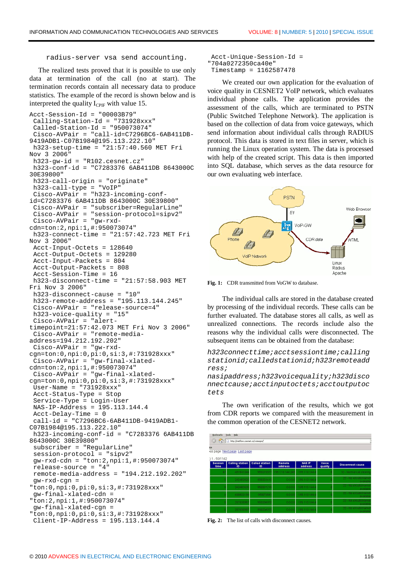#### radius-server vsa send accounting.

The realized tests proved that it is possible to use only data at termination of the call (no at start). The termination records contain all necessary data to produce statistics. The example of the record is shown below and is interpreted the quality  $I_{\text{CPE}}$  with value 15.

```
Acct-Session-Id = "00003B79"
  Calling-Station-Id = "731928xxx"
  Called-Station-Id = "950073074"
  Cisco-AVPair = "call-id=C7296BC6-6AB411DB-
9419ADB1-C07B1984@195.113.222.10"
  h323-setup-time = "21:57:40.560 MET Fri
Nov 3 2006"
  h323-gw-id = "R102.cesnet.cz"
  h323-conf-id = "C7283376 6AB411DB 8643000C
30E39800"
  h323-call-origin = "originate"
 h323-call-type = "VoIP"
  Cisco-AVPair = "h323-incoming-conf-
id=C7283376 6AB411DB 8643000C 30E39800"
  Cisco-AVPair = "subscriber=RegularLine"
  Cisco-AVPair = "session-protocol=sipv2"
  Cisco-AVPair = "gw-rxd-
cdn=ton:2,npi:1,#:950073074"
  h323-connect-time = "21:57:42.723 MET Fri
Nov 3 2006"
  Acct-Input-Octets = 128640
  Acct-Output-Octets = 129280
  Acct-Input-Packets = 804
  Acct-Output-Packets = 808
  Acct-Session-Time = 16
  h323-disconnect-time = "21:57:58.903 MET
Fri Nov 3 2006"
  h323-disconnect-cause = "10"
  h323-remote-address = "195.113.144.245"
  Cisco-AVPair = "release-source=4"
 h323-voice-quality = "15"
  Cisco-AVPair = "alert-
timepoint=21:57:42.073 MET Fri Nov 3 2006"
  Cisco-AVPair = "remote-media-
address=194.212.192.202"
  Cisco-AVPair = "gw-rxd-
cgn=ton:0,npi:0,pi:0,si:3,#:731928xxx"
  Cisco-AVPair = "gw-final-xlated-
cdn=ton:2,npi:1,#:950073074"
  Cisco-AVPair = "gw-final-xlated-
cgn=ton:0,npi:0,pi:0,si:3,#:731928xxx"
  User-Name = "731928xxx"
  Acct-Status-Type = Stop
  Service-Type = Login-User
  NAS-IP-Address = 195.113.144.4
  Acct-Delay-Time = 0
  call-id = "C7296BC6-6AB411DB-9419ADB1-
C07B1984@195.113.222.10"
  h323-incoming-conf-id = "C7283376 6AB411DB
8643000C 30E39800"
  subscriber = "RegularLine"
  session-protocol = "sipv2"
  gw-rxd-cdn = "ton:2,npi:1,#:950073074"
  release-source = "4"
  remote-media-address = "194.212.192.202"
  gw-rxd-cgn =
"ton:0,npi:0,pi:0,si:3,#:731928xxx"
  gw-final-xlated-cdn =
"ton:2,npi:1,#:950073074"
  gw-final-xlated-cgn =
"ton:0,npi:0,pi:0,si:3,#:731928xxx"
  Client-IP-Address = 195.113.144.4
```

```
 Acct-Unique-Session-Id =
"704a0272350ca40e"
 Timestamp = 1162587478
```
We created our own application for the evaluation of voice quality in CESNET2 VoIP network, which evaluates individual phone calls. The application provides the assessment of the calls, which are terminated to PSTN (Public Switched Telephone Network). The application is based on the collection of data from voice gateways, which send information about individual calls through RADIUS protocol. This data is stored in text files in server, which is running the Linux operation system. The data is processed with help of the created script. This data is then imported into SQL database, which serves as the data resource for our own evaluating web interface.



Fig. 1: CDR transmitted from VoGW to database.

The individual calls are stored in the database created by processing of the individual records. These calls can be further evaluated. The database stores all calls, as well as unrealized connections. The records include also the reasons why the individual calls were disconnected. The subsequent items can be obtained from the database:

*h323connecttime;acctsessiontime;calling stationid;calledstationid;h323remoteadd ress; nasipaddress;h323voicequality;h323disco nnectcause;acctinputoctets;acctoutputoc tets*

The own verification of the results, which we got from CDR reports we compared with the measurement in the common operation of the CESNET2 network.

| Bookmarks              | Tools<br>Help                      |                             |                   |                          |                  |                                      |
|------------------------|------------------------------------|-----------------------------|-------------------|--------------------------|------------------|--------------------------------------|
| $\mathbb{C}$           | http://netflow.cesnet.cz/voicegos/ |                             |                   |                          |                  |                                      |
| ise                    |                                    |                             |                   |                          |                  |                                      |
|                        | lus page Next page Last page       |                             |                   |                          |                  |                                      |
| $1 - 50/1142$          |                                    |                             |                   |                          |                  |                                      |
| <b>Session</b><br>time | <b>Calling station</b><br>ID       | <b>Called station</b><br>ID | Remote<br>address | <b>NAS IP</b><br>address | Voice<br>quality | <b>Disconnect cause</b>              |
| 6 <sup>°</sup>         | 491541244                          | 95007207                    | 195 113 144 245   | 195.113.144.4            |                  | 10 - Normal call clearing            |
|                        | 24248282                           | 950001610                   | 0.0.0.0           | 195.113.144.4            |                  | 22 - No circuit/channel<br>available |
|                        | 242482820                          | 950001215                   | 0.0.0.0           | 195.113.144.4            |                  | 22 - No circuit/channe<br>available  |
|                        | 608822158                          | 95001354                    | 0.0.0.0           | 195.113.144.4            |                  | 22 - No circuit/channe<br>available  |
|                        | 25753098                           | 950004970                   | 0.0.0.0           | 195.118.144.4            |                  | 22 - No circuit/channe<br>available  |
|                        | 257530981                          | 950004976                   | 0.0.0.0           | 195.113.144.4            |                  | 22 - No circuit/channel<br>available |

**Fig. 2:** The list of calls with disconnect causes.